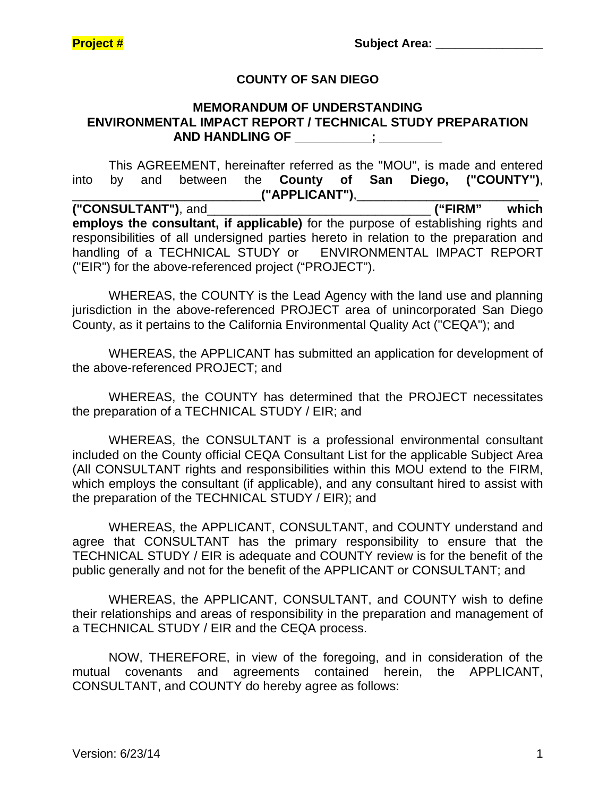### **COUNTY OF SAN DIEGO**

#### **MEMORANDUM OF UNDERSTANDING ENVIRONMENTAL IMPACT REPORT / TECHNICAL STUDY PREPARATION AND HANDLING OF \_\_\_\_\_\_\_\_\_\_\_; \_\_\_\_\_\_\_\_\_**

 This AGREEMENT, hereinafter referred as the "MOU", is made and entered into by and between the **County of San Diego, ("COUNTY")**, \_\_\_\_\_\_\_\_\_\_\_\_\_\_\_\_\_\_\_\_\_\_\_\_\_\_\_**("APPLICANT")**,\_\_\_\_\_\_\_\_\_\_\_\_\_\_\_\_\_\_\_\_\_\_\_\_\_\_ **("CONSULTANT")**, and\_\_\_\_\_\_\_\_\_\_\_\_\_\_\_\_\_\_\_\_\_\_\_\_\_\_\_\_\_\_\_\_ **("FIRM" which employs the consultant, if applicable)** for the purpose of establishing rights and responsibilities of all undersigned parties hereto in relation to the preparation and handling of a TECHNICAL STUDY or ENVIRONMENTAL IMPACT REPORT

WHEREAS, the COUNTY is the Lead Agency with the land use and planning jurisdiction in the above-referenced PROJECT area of unincorporated San Diego

County, as it pertains to the California Environmental Quality Act ("CEQA"); and

("EIR") for the above-referenced project ("PROJECT").

WHEREAS, the APPLICANT has submitted an application for development of the above-referenced PROJECT; and

WHEREAS, the COUNTY has determined that the PROJECT necessitates the preparation of a TECHNICAL STUDY / EIR; and

WHEREAS, the CONSULTANT is a professional environmental consultant included on the County official CEQA Consultant List for the applicable Subject Area (All CONSULTANT rights and responsibilities within this MOU extend to the FIRM, which employs the consultant (if applicable), and any consultant hired to assist with the preparation of the TECHNICAL STUDY / EIR); and

WHEREAS, the APPLICANT, CONSULTANT, and COUNTY understand and agree that CONSULTANT has the primary responsibility to ensure that the TECHNICAL STUDY / EIR is adequate and COUNTY review is for the benefit of the public generally and not for the benefit of the APPLICANT or CONSULTANT; and

WHEREAS, the APPLICANT, CONSULTANT, and COUNTY wish to define their relationships and areas of responsibility in the preparation and management of a TECHNICAL STUDY / EIR and the CEQA process.

NOW, THEREFORE, in view of the foregoing, and in consideration of the mutual covenants and agreements contained herein, the APPLICANT, CONSULTANT, and COUNTY do hereby agree as follows: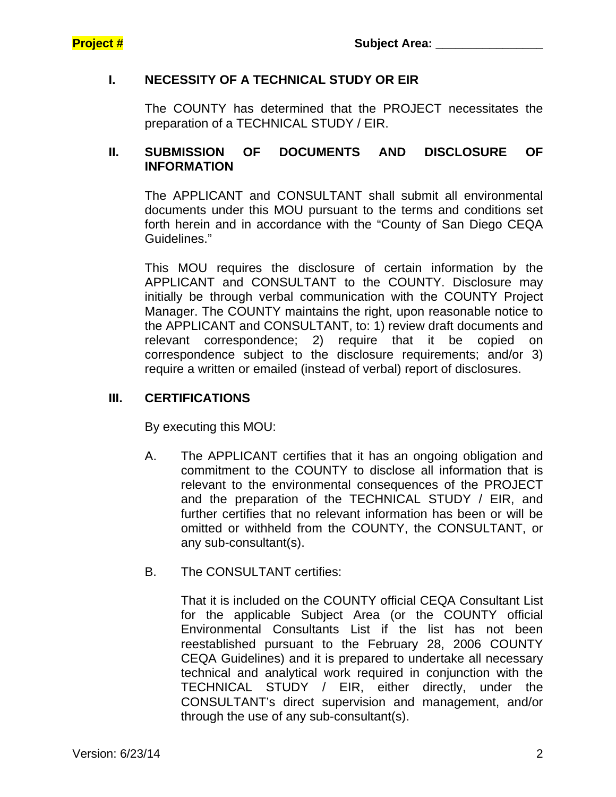## **I. NECESSITY OF A TECHNICAL STUDY OR EIR**

 The COUNTY has determined that the PROJECT necessitates the preparation of a TECHNICAL STUDY / EIR.

### **II. SUBMISSION OF DOCUMENTS AND DISCLOSURE OF INFORMATION**

 The APPLICANT and CONSULTANT shall submit all environmental documents under this MOU pursuant to the terms and conditions set forth herein and in accordance with the "County of San Diego CEQA Guidelines."

 This MOU requires the disclosure of certain information by the APPLICANT and CONSULTANT to the COUNTY. Disclosure may initially be through verbal communication with the COUNTY Project Manager. The COUNTY maintains the right, upon reasonable notice to the APPLICANT and CONSULTANT, to: 1) review draft documents and relevant correspondence; 2) require that it be copied on correspondence subject to the disclosure requirements; and/or 3) require a written or emailed (instead of verbal) report of disclosures.

### **III. CERTIFICATIONS**

By executing this MOU:

- A. The APPLICANT certifies that it has an ongoing obligation and commitment to the COUNTY to disclose all information that is relevant to the environmental consequences of the PROJECT and the preparation of the TECHNICAL STUDY / EIR, and further certifies that no relevant information has been or will be omitted or withheld from the COUNTY, the CONSULTANT, or any sub-consultant(s).
- B. The CONSULTANT certifies:

That it is included on the COUNTY official CEQA Consultant List for the applicable Subject Area (or the COUNTY official Environmental Consultants List if the list has not been reestablished pursuant to the February 28, 2006 COUNTY CEQA Guidelines) and it is prepared to undertake all necessary technical and analytical work required in conjunction with the TECHNICAL STUDY / EIR, either directly, under the CONSULTANT's direct supervision and management, and/or through the use of any sub-consultant(s).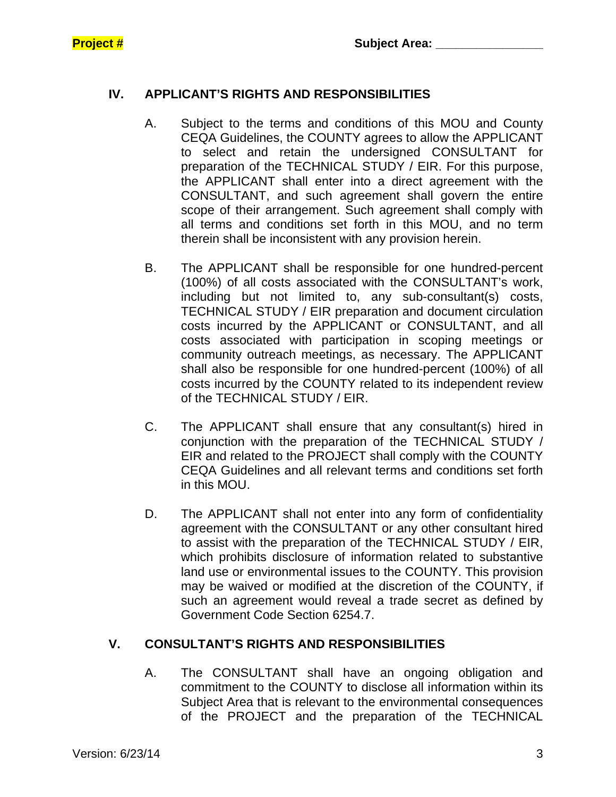# **IV. APPLICANT'S RIGHTS AND RESPONSIBILITIES**

- A. Subject to the terms and conditions of this MOU and County CEQA Guidelines, the COUNTY agrees to allow the APPLICANT to select and retain the undersigned CONSULTANT for preparation of the TECHNICAL STUDY / EIR. For this purpose, the APPLICANT shall enter into a direct agreement with the CONSULTANT, and such agreement shall govern the entire scope of their arrangement. Such agreement shall comply with all terms and conditions set forth in this MOU, and no term therein shall be inconsistent with any provision herein.
- B. The APPLICANT shall be responsible for one hundred-percent (100%) of all costs associated with the CONSULTANT's work, including but not limited to, any sub-consultant(s) costs, TECHNICAL STUDY / EIR preparation and document circulation costs incurred by the APPLICANT or CONSULTANT, and all costs associated with participation in scoping meetings or community outreach meetings, as necessary. The APPLICANT shall also be responsible for one hundred-percent (100%) of all costs incurred by the COUNTY related to its independent review of the TECHNICAL STUDY / EIR.
- C. The APPLICANT shall ensure that any consultant(s) hired in conjunction with the preparation of the TECHNICAL STUDY / EIR and related to the PROJECT shall comply with the COUNTY CEQA Guidelines and all relevant terms and conditions set forth in this MOU.
- D. The APPLICANT shall not enter into any form of confidentiality agreement with the CONSULTANT or any other consultant hired to assist with the preparation of the TECHNICAL STUDY / EIR, which prohibits disclosure of information related to substantive land use or environmental issues to the COUNTY. This provision may be waived or modified at the discretion of the COUNTY, if such an agreement would reveal a trade secret as defined by Government Code Section 6254.7.

# **V. CONSULTANT'S RIGHTS AND RESPONSIBILITIES**

A. The CONSULTANT shall have an ongoing obligation and commitment to the COUNTY to disclose all information within its Subject Area that is relevant to the environmental consequences of the PROJECT and the preparation of the TECHNICAL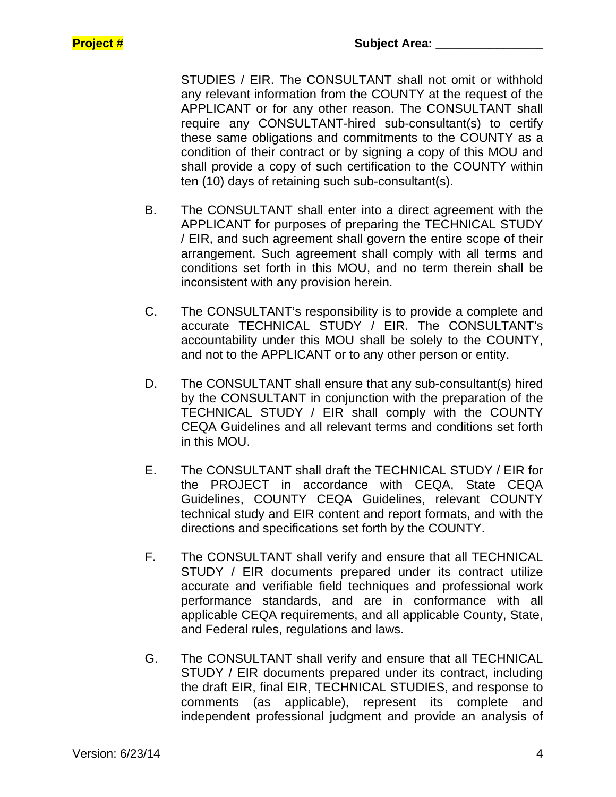STUDIES / EIR. The CONSULTANT shall not omit or withhold any relevant information from the COUNTY at the request of the APPLICANT or for any other reason. The CONSULTANT shall require any CONSULTANT-hired sub-consultant(s) to certify these same obligations and commitments to the COUNTY as a condition of their contract or by signing a copy of this MOU and shall provide a copy of such certification to the COUNTY within ten (10) days of retaining such sub-consultant(s).

- B. The CONSULTANT shall enter into a direct agreement with the APPLICANT for purposes of preparing the TECHNICAL STUDY / EIR, and such agreement shall govern the entire scope of their arrangement. Such agreement shall comply with all terms and conditions set forth in this MOU, and no term therein shall be inconsistent with any provision herein.
- C. The CONSULTANT's responsibility is to provide a complete and accurate TECHNICAL STUDY / EIR. The CONSULTANT's accountability under this MOU shall be solely to the COUNTY, and not to the APPLICANT or to any other person or entity.
- D. The CONSULTANT shall ensure that any sub-consultant(s) hired by the CONSULTANT in conjunction with the preparation of the TECHNICAL STUDY / EIR shall comply with the COUNTY CEQA Guidelines and all relevant terms and conditions set forth in this MOU.
- E. The CONSULTANT shall draft the TECHNICAL STUDY / EIR for the PROJECT in accordance with CEQA, State CEQA Guidelines, COUNTY CEQA Guidelines, relevant COUNTY technical study and EIR content and report formats, and with the directions and specifications set forth by the COUNTY.
- F. The CONSULTANT shall verify and ensure that all TECHNICAL STUDY / EIR documents prepared under its contract utilize accurate and verifiable field techniques and professional work performance standards, and are in conformance with all applicable CEQA requirements, and all applicable County, State, and Federal rules, regulations and laws.
- G. The CONSULTANT shall verify and ensure that all TECHNICAL STUDY / EIR documents prepared under its contract, including the draft EIR, final EIR, TECHNICAL STUDIES, and response to comments (as applicable), represent its complete and independent professional judgment and provide an analysis of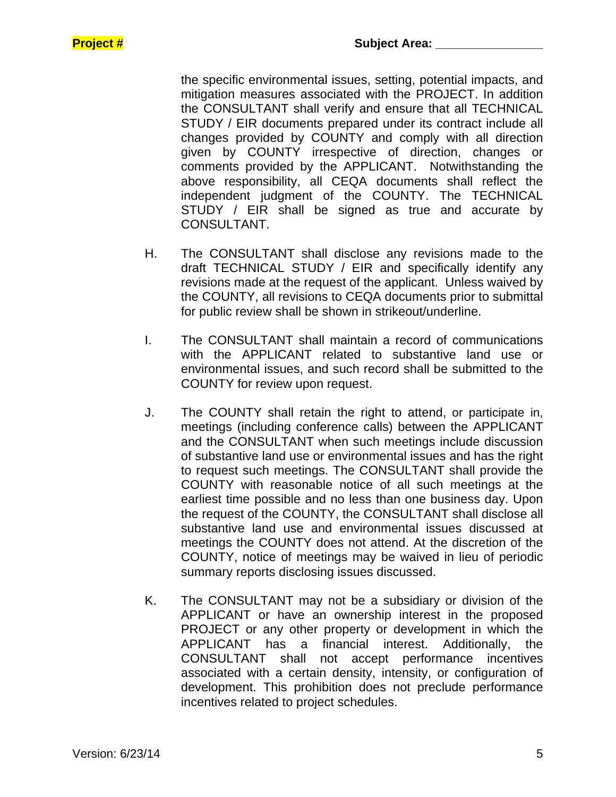the specific environmental issues, setting, potential impacts, and mitigation measures associated with the PROJECT. In addition the CONSULTANT shall verify and ensure that all TECHNICAL STUDY / EIR documents prepared under its contract include all changes provided by COUNTY and comply with all direction given by COUNTY irrespective of direction, changes or comments provided by the APPLICANT. Notwithstanding the above responsibility, all CEQA documents shall reflect the independent judgment of the COUNTY. The TECHNICAL STUDY / EIR shall be signed as true and accurate by CONSULTANT.

- H. The CONSULTANT shall disclose any revisions made to the draft TECHNICAL STUDY / EIR and specifically identify any revisions made at the request of the applicant. Unless waived by the COUNTY, all revisions to CEQA documents prior to submittal for public review shall be shown in strikeout/underline.
- I. The CONSULTANT shall maintain a record of communications with the APPLICANT related to substantive land use or environmental issues, and such record shall be submitted to the COUNTY for review upon request.
- J. The COUNTY shall retain the right to attend, or participate in, meetings (including conference calls) between the APPLICANT and the CONSULTANT when such meetings include discussion of substantive land use or environmental issues and has the right to request such meetings. The CONSULTANT shall provide the COUNTY with reasonable notice of all such meetings at the earliest time possible and no less than one business day. Upon the request of the COUNTY, the CONSULTANT shall disclose all substantive land use and environmental issues discussed at meetings the COUNTY does not attend. At the discretion of the COUNTY, notice of meetings may be waived in lieu of periodic summary reports disclosing issues discussed.
- K. The CONSULTANT may not be a subsidiary or division of the APPLICANT or have an ownership interest in the proposed PROJECT or any other property or development in which the APPLICANT has a financial interest. Additionally, the CONSULTANT shall not accept performance incentives associated with a certain density, intensity, or configuration of development. This prohibition does not preclude performance incentives related to project schedules.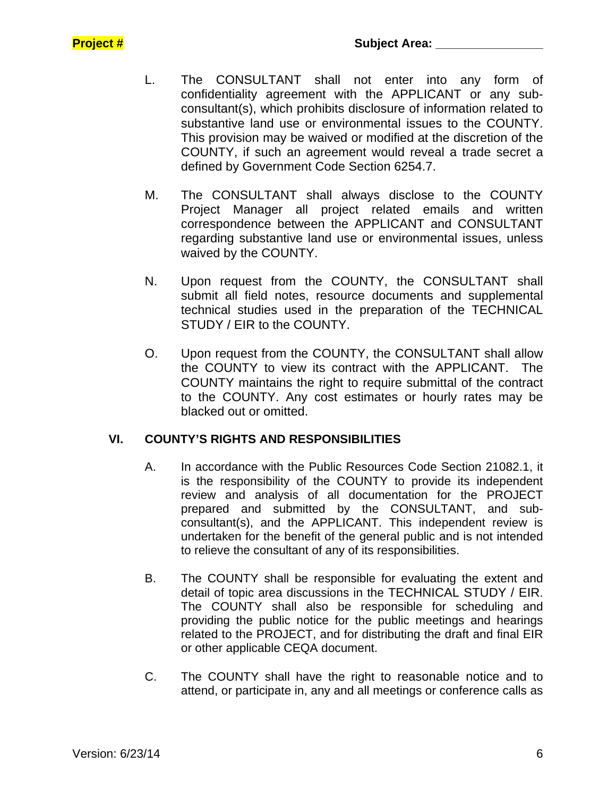- L. The CONSULTANT shall not enter into any form of confidentiality agreement with the APPLICANT or any subconsultant(s), which prohibits disclosure of information related to substantive land use or environmental issues to the COUNTY. This provision may be waived or modified at the discretion of the COUNTY, if such an agreement would reveal a trade secret a defined by Government Code Section 6254.7.
- M. The CONSULTANT shall always disclose to the COUNTY Project Manager all project related emails and written correspondence between the APPLICANT and CONSULTANT regarding substantive land use or environmental issues, unless waived by the COUNTY.
- N. Upon request from the COUNTY, the CONSULTANT shall submit all field notes, resource documents and supplemental technical studies used in the preparation of the TECHNICAL STUDY / EIR to the COUNTY.
- O. Upon request from the COUNTY, the CONSULTANT shall allow the COUNTY to view its contract with the APPLICANT. The COUNTY maintains the right to require submittal of the contract to the COUNTY. Any cost estimates or hourly rates may be blacked out or omitted.

### **VI. COUNTY'S RIGHTS AND RESPONSIBILITIES**

- A. In accordance with the Public Resources Code Section 21082.1, it is the responsibility of the COUNTY to provide its independent review and analysis of all documentation for the PROJECT prepared and submitted by the CONSULTANT, and subconsultant(s), and the APPLICANT. This independent review is undertaken for the benefit of the general public and is not intended to relieve the consultant of any of its responsibilities.
- B. The COUNTY shall be responsible for evaluating the extent and detail of topic area discussions in the TECHNICAL STUDY / EIR. The COUNTY shall also be responsible for scheduling and providing the public notice for the public meetings and hearings related to the PROJECT, and for distributing the draft and final EIR or other applicable CEQA document.
- C. The COUNTY shall have the right to reasonable notice and to attend, or participate in, any and all meetings or conference calls as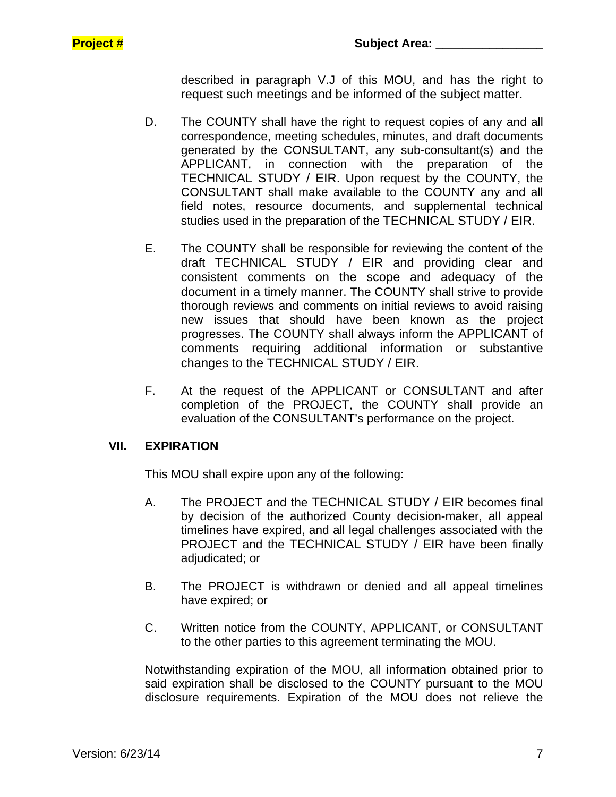described in paragraph V.J of this MOU, and has the right to request such meetings and be informed of the subject matter.

- D. The COUNTY shall have the right to request copies of any and all correspondence, meeting schedules, minutes, and draft documents generated by the CONSULTANT, any sub-consultant(s) and the APPLICANT, in connection with the preparation of the TECHNICAL STUDY / EIR. Upon request by the COUNTY, the CONSULTANT shall make available to the COUNTY any and all field notes, resource documents, and supplemental technical studies used in the preparation of the TECHNICAL STUDY / EIR.
- E. The COUNTY shall be responsible for reviewing the content of the draft TECHNICAL STUDY / EIR and providing clear and consistent comments on the scope and adequacy of the document in a timely manner. The COUNTY shall strive to provide thorough reviews and comments on initial reviews to avoid raising new issues that should have been known as the project progresses. The COUNTY shall always inform the APPLICANT of comments requiring additional information or substantive changes to the TECHNICAL STUDY / EIR.
- F. At the request of the APPLICANT or CONSULTANT and after completion of the PROJECT, the COUNTY shall provide an evaluation of the CONSULTANT's performance on the project.

### **VII. EXPIRATION**

This MOU shall expire upon any of the following:

- A. The PROJECT and the TECHNICAL STUDY / EIR becomes final by decision of the authorized County decision-maker, all appeal timelines have expired, and all legal challenges associated with the PROJECT and the TECHNICAL STUDY / EIR have been finally adjudicated; or
- B. The PROJECT is withdrawn or denied and all appeal timelines have expired; or
- C. Written notice from the COUNTY, APPLICANT, or CONSULTANT to the other parties to this agreement terminating the MOU.

Notwithstanding expiration of the MOU, all information obtained prior to said expiration shall be disclosed to the COUNTY pursuant to the MOU disclosure requirements. Expiration of the MOU does not relieve the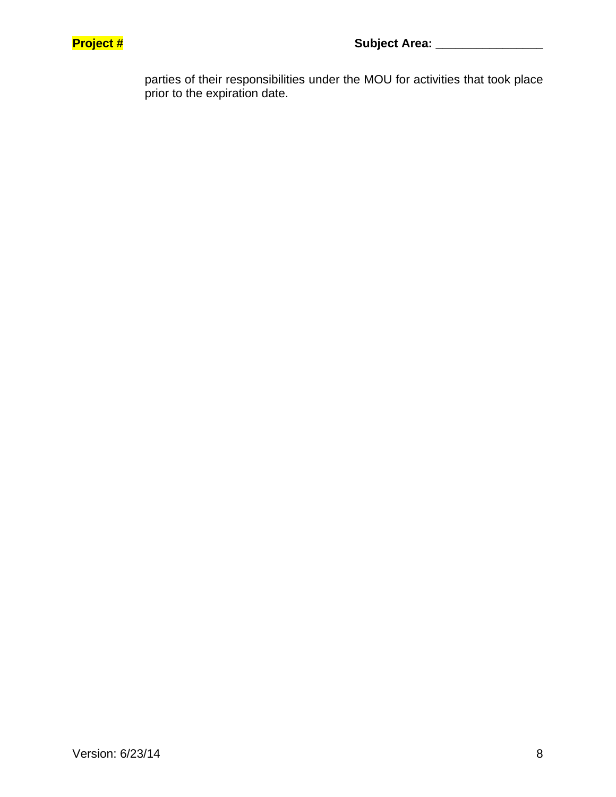

parties of their responsibilities under the MOU for activities that took place prior to the expiration date.